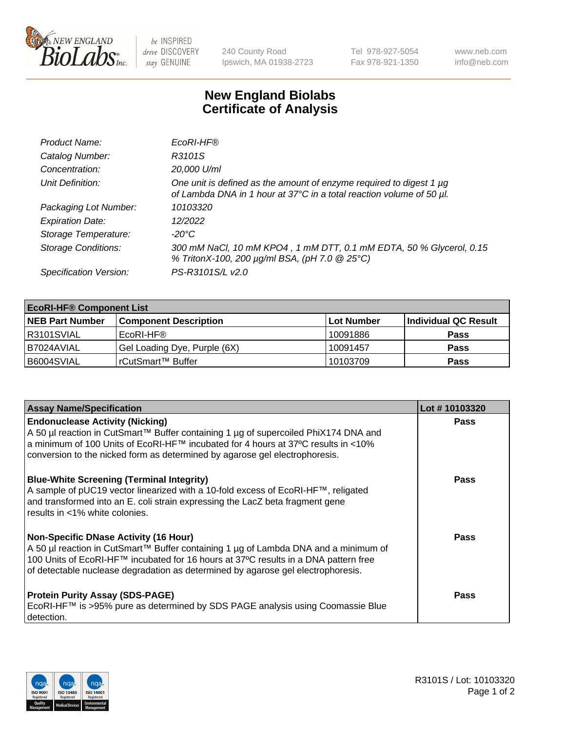

 $be$  INSPIRED drive DISCOVERY stay GENUINE

240 County Road Ipswich, MA 01938-2723 Tel 978-927-5054 Fax 978-921-1350 www.neb.com info@neb.com

## **New England Biolabs Certificate of Analysis**

| Product Name:              | EcoRI-HF®                                                                                                                                   |
|----------------------------|---------------------------------------------------------------------------------------------------------------------------------------------|
| Catalog Number:            | R3101S                                                                                                                                      |
| Concentration:             | 20,000 U/ml                                                                                                                                 |
| Unit Definition:           | One unit is defined as the amount of enzyme required to digest 1 µg<br>of Lambda DNA in 1 hour at 37°C in a total reaction volume of 50 µl. |
| Packaging Lot Number:      | 10103320                                                                                                                                    |
| <b>Expiration Date:</b>    | 12/2022                                                                                                                                     |
| Storage Temperature:       | -20°C                                                                                                                                       |
| <b>Storage Conditions:</b> | 300 mM NaCl, 10 mM KPO4, 1 mM DTT, 0.1 mM EDTA, 50 % Glycerol, 0.15<br>% TritonX-100, 200 µg/ml BSA, (pH 7.0 @ 25°C)                        |
| Specification Version:     | PS-R3101S/L v2.0                                                                                                                            |

| <b>EcoRI-HF® Component List</b> |                              |            |                      |  |  |
|---------------------------------|------------------------------|------------|----------------------|--|--|
| <b>NEB Part Number</b>          | <b>Component Description</b> | Lot Number | Individual QC Result |  |  |
| R3101SVIAL                      | EcoRI-HF®                    | 10091886   | <b>Pass</b>          |  |  |
| I B7024AVIAL                    | Gel Loading Dye, Purple (6X) | 10091457   | <b>Pass</b>          |  |  |
| B6004SVIAL                      | rCutSmart™ Buffer            | 10103709   | <b>Pass</b>          |  |  |

| <b>Assay Name/Specification</b>                                                                                                                                                                                                                                                                                                           | Lot #10103320 |
|-------------------------------------------------------------------------------------------------------------------------------------------------------------------------------------------------------------------------------------------------------------------------------------------------------------------------------------------|---------------|
| <b>Endonuclease Activity (Nicking)</b><br>  A 50 µl reaction in CutSmart™ Buffer containing 1 µg of supercoiled PhiX174 DNA and<br> a minimum of 100 Units of EcoRI-HF™ incubated for 4 hours at 37°C results in <10%                                                                                                                     | <b>Pass</b>   |
| conversion to the nicked form as determined by agarose gel electrophoresis.<br><b>Blue-White Screening (Terminal Integrity)</b><br>A sample of pUC19 vector linearized with a 10-fold excess of EcoRI-HF™, religated<br>and transformed into an E. coli strain expressing the LacZ beta fragment gene<br>l results in <1% white colonies. | <b>Pass</b>   |
| Non-Specific DNase Activity (16 Hour)<br>A 50 µl reaction in CutSmart™ Buffer containing 1 µg of Lambda DNA and a minimum of<br>100 Units of EcoRI-HF™ incubated for 16 hours at 37°C results in a DNA pattern free<br>of detectable nuclease degradation as determined by agarose gel electrophoresis.                                   | <b>Pass</b>   |
| <b>Protein Purity Assay (SDS-PAGE)</b><br>EcoRI-HF™ is >95% pure as determined by SDS PAGE analysis using Coomassie Blue<br>detection.                                                                                                                                                                                                    | <b>Pass</b>   |